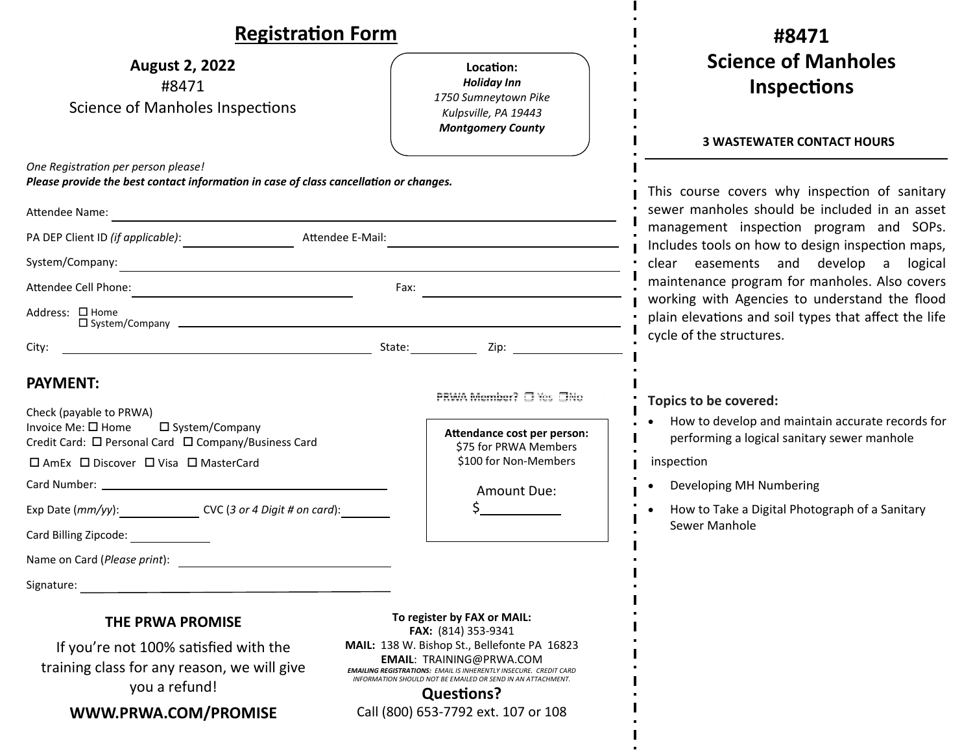| <b>Registration Form</b>                                                                                                                                                                                                                                                                                        |                                                                                                                                                                                                                                                                        | #8471                                                                                                                                                                                                                                                                                                                                                                                                                                 |
|-----------------------------------------------------------------------------------------------------------------------------------------------------------------------------------------------------------------------------------------------------------------------------------------------------------------|------------------------------------------------------------------------------------------------------------------------------------------------------------------------------------------------------------------------------------------------------------------------|---------------------------------------------------------------------------------------------------------------------------------------------------------------------------------------------------------------------------------------------------------------------------------------------------------------------------------------------------------------------------------------------------------------------------------------|
| <b>August 2, 2022</b><br>#8471<br><b>Science of Manholes Inspections</b>                                                                                                                                                                                                                                        | Location:<br><b>Holiday Inn</b><br>1750 Sumneytown Pike<br>Kulpsville, PA 19443<br><b>Montgomery County</b>                                                                                                                                                            | <b>Science of Manholes</b><br><b>Inspections</b>                                                                                                                                                                                                                                                                                                                                                                                      |
| One Registration per person please!<br>Please provide the best contact information in case of class cancellation or changes.<br>Attendee Name:                                                                                                                                                                  |                                                                                                                                                                                                                                                                        | <b>3 WASTEWATER CONTACT HOURS</b><br>This course covers why inspection of sanitary<br>sewer manholes should be included in an asset<br>management inspection program and SOPs.<br>Includes tools on how to design inspection maps,<br>clear easements and develop a logical<br>maintenance program for manholes. Also covers<br>working with Agencies to understand the flood<br>plain elevations and soil types that affect the life |
| Attendee E-Mail:                                                                                                                                                                                                                                                                                                |                                                                                                                                                                                                                                                                        |                                                                                                                                                                                                                                                                                                                                                                                                                                       |
|                                                                                                                                                                                                                                                                                                                 |                                                                                                                                                                                                                                                                        |                                                                                                                                                                                                                                                                                                                                                                                                                                       |
| Fax: $\qquad \qquad$                                                                                                                                                                                                                                                                                            |                                                                                                                                                                                                                                                                        |                                                                                                                                                                                                                                                                                                                                                                                                                                       |
| Address: □ Home<br>$\Box$ System/Company $\Box$                                                                                                                                                                                                                                                                 |                                                                                                                                                                                                                                                                        |                                                                                                                                                                                                                                                                                                                                                                                                                                       |
| City:                                                                                                                                                                                                                                                                                                           |                                                                                                                                                                                                                                                                        | cycle of the structures.                                                                                                                                                                                                                                                                                                                                                                                                              |
| <b>PAYMENT:</b><br>Check (payable to PRWA)<br>Invoice Me: □ Home<br>□ System/Company<br>Credit Card: □ Personal Card □ Company/Business Card<br>□ AmEx □ Discover □ Visa □ MasterCard<br>Exp Date (mm/yy): CVC (3 or 4 Digit # on card):<br>Card Billing Zipcode:<br>Name on Card (Please print):<br>Signature: | PRWA Member? □ Yes □No<br>Attendance cost per person:<br>\$75 for PRWA Members<br>\$100 for Non-Members<br>Amount Due:                                                                                                                                                 | Topics to be covered:<br>How to develop and maintain accurate records for<br>performing a logical sanitary sewer manhole<br>inspection<br>Developing MH Numbering<br>How to Take a Digital Photograph of a Sanitary<br>Sewer Manhole                                                                                                                                                                                                  |
| THE PRWA PROMISE                                                                                                                                                                                                                                                                                                | To register by FAX or MAIL:                                                                                                                                                                                                                                            |                                                                                                                                                                                                                                                                                                                                                                                                                                       |
| If you're not 100% satisfied with the<br>training class for any reason, we will give<br>you a refund!                                                                                                                                                                                                           | FAX: (814) 353-9341<br>MAIL: 138 W. Bishop St., Bellefonte PA 16823<br><b>EMAIL: TRAINING@PRWA.COM</b><br><b>EMAILING REGISTRATIONS: EMAIL IS INHERENTLY INSECURE. CREDIT CARD</b><br>INFORMATION SHOULD NOT BE EMAILED OR SEND IN AN ATTACHMENT.<br><b>Questions?</b> |                                                                                                                                                                                                                                                                                                                                                                                                                                       |
| WWW.PRWA.COM/PROMISE                                                                                                                                                                                                                                                                                            | Call (800) 653-7792 ext. 107 or 108                                                                                                                                                                                                                                    |                                                                                                                                                                                                                                                                                                                                                                                                                                       |